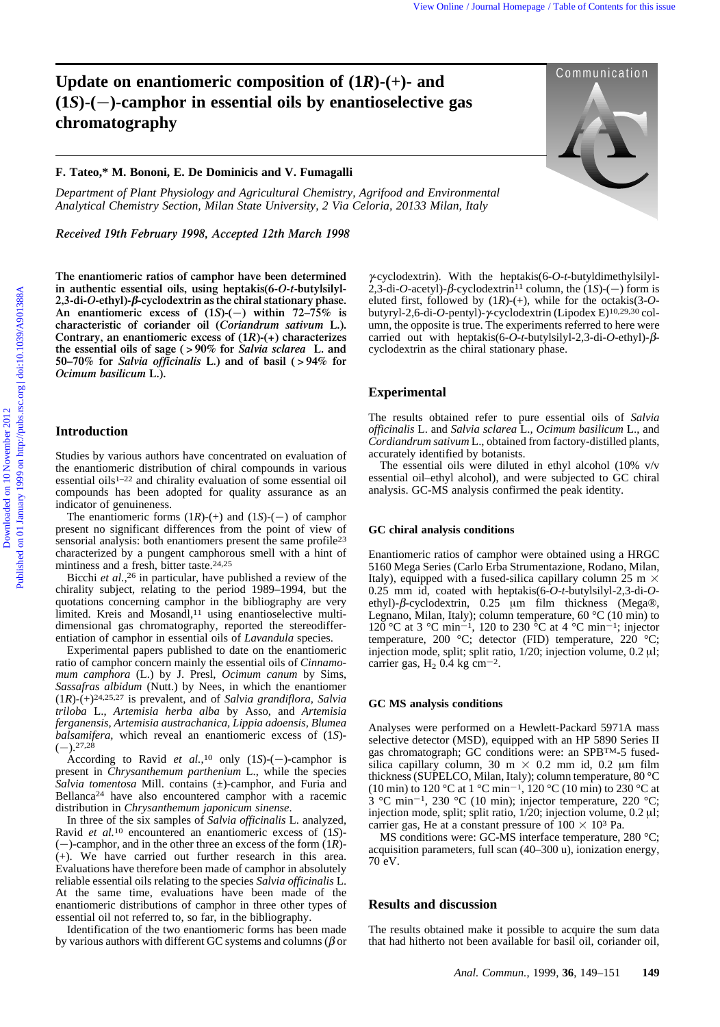# **Update on enantiomeric composition of (1***R***)-(+)- and Communication**  $(1S)$ - $(-)$ -camphor in essential oils by enantioselective gas **chromatography**

## **F. Tateo,\* M. Bononi, E. De Dominicis and V. Fumagalli**

*Department of Plant Physiology and Agricultural Chemistry, Agrifood and Environmental Analytical Chemistry Section, Milan State University, 2 Via Celoria, 20133 Milan, Italy*

*Received 19th February 1998, Accepted 12th March 1998*

**The enantiomeric ratios of camphor have been determined in authentic essential oils, using heptakis(6-***O***-***t***-butylsilyl-2,3-di-***O***-ethyl)-**b**-cyclodextrin as the chiral stationary phase.** An enantiomeric excess of  $(1S)(-)$  within  $72-75\%$  is **characteristic of coriander oil (***Coriandrum sativum* **L.). Contrary, an enantiomeric excess of (1***R***)-(+) characterizes the essential oils of sage ( > 90% for** *Salvia sclarea* **L. and 50–70% for** *Salvia officinalis* **L.) and of basil ( > 94% for** *Ocimum basilicum* **L.).** Vies Online *Downloaded* (1)  $\bullet$  Communication (1)  $\bullet$  Communication (1)  $\bullet$  Communication (1)  $\bullet$  Communication (1)  $\bullet$  Communication (1)  $\bullet$  Communication (1)  $\bullet$  Communication (1)  $\bullet$  Communication (1)  $\bullet$  Com

## **Introduction**

Studies by various authors have concentrated on evaluation of the enantiomeric distribution of chiral compounds in various essential oils1–22 and chirality evaluation of some essential oil compounds has been adopted for quality assurance as an indicator of genuineness.

The enantiomeric forms  $(1R)$ -(+) and  $(1S)$ -(-) of camphor present no significant differences from the point of view of sensorial analysis: both enantiomers present the same profile<sup>23</sup> characterized by a pungent camphorous smell with a hint of mintiness and a fresh, bitter taste.24,25

Bicchi *et al.*, 26 in particular, have published a review of the chirality subject, relating to the period 1989–1994, but the quotations concerning camphor in the bibliography are very limited. Kreis and Mosandl,<sup>11</sup> using enantioselective multidimensional gas chromatography, reported the stereodifferentiation of camphor in essential oils of *Lavandula* species.

Experimental papers published to date on the enantiomeric ratio of camphor concern mainly the essential oils of *Cinnamomum camphora* (L.) by J. Presl, *Ocimum canum* by Sims, *Sassafras albidum* (Nutt.) by Nees, in which the enantiomer (1*R*)-(+)24,25,27 is prevalent, and of *Salvia grandiflora, Salvia triloba* L., *Artemisia herba alba* by Asso, and *Artemisia ferganensis, Artemisia austrachanica, Lippia adoensis, Blumea balsamifera,* which reveal an enantiomeric excess of (1*S*)-  $(-).^{27,28}$ 

According to Ravid *et al.*,<sup>10</sup> only  $(1S)$ -(-)-camphor is present in *Chrysanthemum parthenium* L., while the species *Salvia tomentosa* Mill. contains (±)-camphor, and Furia and Bellanca24 have also encountered camphor with a racemic distribution in *Chrysanthemum japonicum sinense*.

In three of the six samples of *Salvia officinalis* L. analyzed, Ravid *et al.*10 encountered an enantiomeric excess of (1*S*)- (2)-camphor, and in the other three an excess of the form (1*R*)- (+). We have carried out further research in this area. Evaluations have therefore been made of camphor in absolutely reliable essential oils relating to the species *Salvia officinalis* L. At the same time, evaluations have been made of the enantiomeric distributions of camphor in three other types of essential oil not referred to, so far, in the bibliography.

Identification of the two enantiomeric forms has been made by various authors with different GC systems and columns ( $\beta$  or

g-cyclodextrin). With the heptakis(6-*O*-*t*-butyldimethylsilyl- $2,3$ -di-*O*-acetyl)- $\beta$ -cyclodextrin<sup>11</sup> column, the (1*S*)-(-) form is eluted first, followed by (1*R*)-(+), while for the octakis(3-*O*butyryl-2,6-di-*O*-pentyl)-γ-cyclodextrin (Lipodex E)<sup>10,29,30</sup> column, the opposite is true. The experiments referred to here were carried out with heptakis(6- $O$ -*t*-butylsilyl-2,3-di- $O$ -ethyl)- $\beta$ cyclodextrin as the chiral stationary phase.

## **Experimental**

The results obtained refer to pure essential oils of *Salvia officinalis* L. and *Salvia sclarea* L.*, Ocimum basilicum* L., and *Cordiandrum sativum* L., obtained from factory-distilled plants, accurately identified by botanists.

The essential oils were diluted in ethyl alcohol (10% v/v essential oil–ethyl alcohol), and were subjected to GC chiral analysis. GC-MS analysis confirmed the peak identity.

### **GC chiral analysis conditions**

Enantiomeric ratios of camphor were obtained using a HRGC 5160 Mega Series (Carlo Erba Strumentazione, Rodano, Milan, Italy), equipped with a fused-silica capillary column 25 m  $\times$ 0.25 mm id, coated with heptakis(6-*O*-*t*-butylsilyl-2,3-di-*O*ethyl)- $\beta$ -cyclodextrin, 0.25  $\mu$ m film thickness (Mega®, Legnano, Milan, Italy); column temperature, 60  $^{\circ}$ C (10 min) to 120 °C at 3 °C min<sup>-1</sup>, 120 to 230 <sup>6</sup>C at 4 <sup>6</sup>C min<sup>-1</sup>; injector temperature, 200 °C; detector (FID) temperature, 220 °C; injection mode, split; split ratio,  $1/20$ ; injection volume,  $0.2 \mu l$ ; carrier gas,  $H_2$  0.4 kg cm<sup>-2</sup>.

#### **GC MS analysis conditions**

Analyses were performed on a Hewlett-Packard 5971A mass selective detector (MSD), equipped with an HP 5890 Series II gas chromatograph; GC conditions were: an SPBTM-5 fusedsilica capillary column, 30 m  $\times$  0.2 mm id, 0.2 µm film thickness (SUPELCO, Milan, Italy); column temperature, 80 °C (10 min) to 120 °C at 1 °C min<sup>-1</sup>, 120 °C (10 min) to 230 °C at  $3 \text{ °C min}^{-1}$ , 230 °C (10 min); injector temperature, 220 °C; injection mode, split; split ratio,  $1/20$ ; injection volume,  $0.2 \mu l$ ; carrier gas, He at a constant pressure of  $100 \times 10^3$  Pa.

MS conditions were: GC-MS interface temperature, 280 °C; acquisition parameters, full scan (40–300 u), ionization energy, 70 eV.

## **Results and discussion**

The results obtained make it possible to acquire the sum data that had hitherto not been available for basil oil, coriander oil,

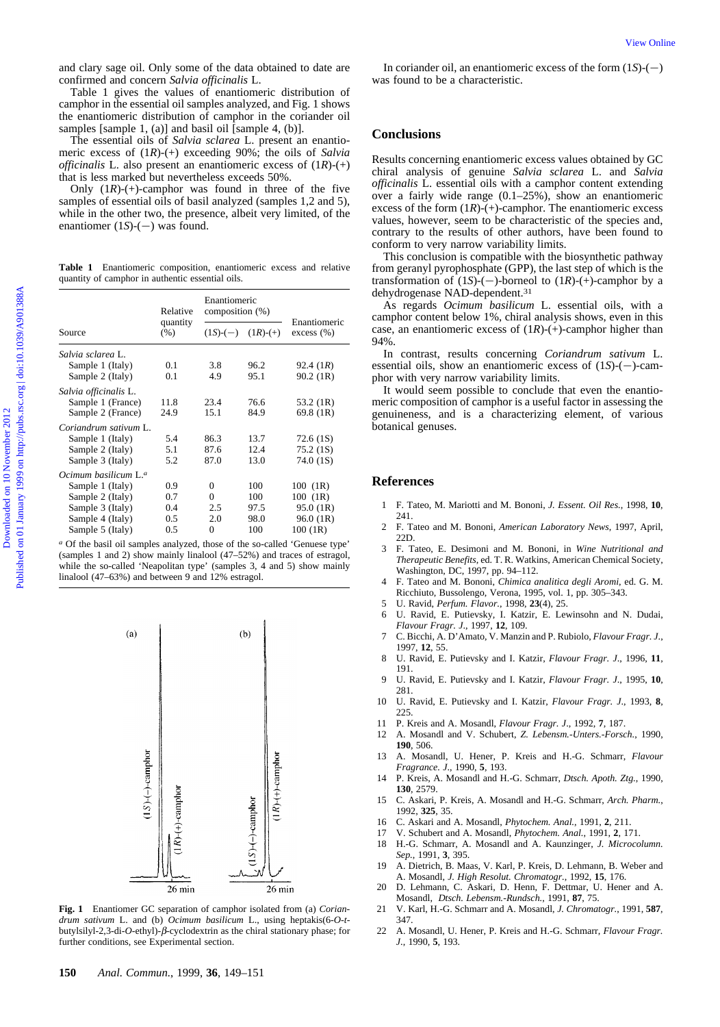**Table 1** Enantiomeric composition, enantiomeric excess and relative quantity of camphor in authentic essential oils.

| and clary sage oil. Only some of the data obtained to date are<br>confirmed and concern Salvia officinalis L.<br>Table 1 gives the values of enantiomeric distribution of<br>camphor in the essential oil samples analyzed, and Fig. 1 shows<br>the enantiomeric distribution of camphor in the coriander oil<br>samples [sample 1, (a)] and basil oil [sample 4, (b)].<br>The essential oils of <i>Salvia sclarea</i> L. present an enantio-<br>meric excess of $(1R)-(+)$ exceeding 90%; the oils of Salvia<br><i>officinalis</i> L. also present an enantiomeric excess of $(1R)$ - $(+)$<br>that is less marked but nevertheless exceeds 50%.<br>Only $(1R)-(+)$ -camphor was found in three of the five<br>samples of essential oils of basil analyzed (samples 1,2 and 5),<br>while in the other two, the presence, albeit very limited, of the<br>enantiomer $(1S)$ - $(-)$ was found.<br>Table 1 Enantiomeric composition, enantiomeric excess and relative |                                 |                                 |             |                               | In coriander oil, an enantiomeric excess of the form $(1S)$ - $(-)$<br>was found to be a characteristic.<br><b>Conclusions</b><br>Results concerning enantiomeric excess values obtained by GC<br>chiral analysis of genuine Salvia sclarea L. and Salvia<br><i>officinalis</i> L. essential oils with a camphor content extending<br>over a fairly wide range $(0.1-25\%)$ , show an enantiomeric<br>excess of the form $(1R)$ -(+)-camphor. The enantiomeric excess<br>values, however, seem to be characteristic of the species and,<br>contrary to the results of other authors, have been found to<br>conform to very narrow variability limits.<br>This conclusion is compatible with the biosynthetic pathway<br>from geranyl pyrophosphate (GPP), the last step of which is the |
|---------------------------------------------------------------------------------------------------------------------------------------------------------------------------------------------------------------------------------------------------------------------------------------------------------------------------------------------------------------------------------------------------------------------------------------------------------------------------------------------------------------------------------------------------------------------------------------------------------------------------------------------------------------------------------------------------------------------------------------------------------------------------------------------------------------------------------------------------------------------------------------------------------------------------------------------------------------------|---------------------------------|---------------------------------|-------------|-------------------------------|-----------------------------------------------------------------------------------------------------------------------------------------------------------------------------------------------------------------------------------------------------------------------------------------------------------------------------------------------------------------------------------------------------------------------------------------------------------------------------------------------------------------------------------------------------------------------------------------------------------------------------------------------------------------------------------------------------------------------------------------------------------------------------------------|
| quantity of camphor in authentic essential oils.<br>Source                                                                                                                                                                                                                                                                                                                                                                                                                                                                                                                                                                                                                                                                                                                                                                                                                                                                                                          | Relative<br>quantity<br>$(\% )$ | Enantiomeric<br>composition (%) |             |                               | transformation of $(1S)$ -(-)-borneol to $(1R)$ -(+)-camphor by a<br>dehydrogenase NAD-dependent. <sup>31</sup><br>As regards Ocimum basilicum L. essential oils, with a<br>camphor content below 1%, chiral analysis shows, even in this                                                                                                                                                                                                                                                                                                                                                                                                                                                                                                                                               |
|                                                                                                                                                                                                                                                                                                                                                                                                                                                                                                                                                                                                                                                                                                                                                                                                                                                                                                                                                                     |                                 |                                 |             | Enantiomeric<br>$excess (\%)$ | case, an enantiomeric excess of $(1R)$ -(+)-camphor higher than                                                                                                                                                                                                                                                                                                                                                                                                                                                                                                                                                                                                                                                                                                                         |
|                                                                                                                                                                                                                                                                                                                                                                                                                                                                                                                                                                                                                                                                                                                                                                                                                                                                                                                                                                     |                                 | $(1S)$ - $(-)$ $(1R)$ - $(+)$   |             |                               |                                                                                                                                                                                                                                                                                                                                                                                                                                                                                                                                                                                                                                                                                                                                                                                         |
| Salvia sclarea L.                                                                                                                                                                                                                                                                                                                                                                                                                                                                                                                                                                                                                                                                                                                                                                                                                                                                                                                                                   |                                 |                                 |             |                               | 94%.<br>In contrast, results concerning <i>Coriandrum sativum</i> L.                                                                                                                                                                                                                                                                                                                                                                                                                                                                                                                                                                                                                                                                                                                    |
| Sample 1 (Italy)                                                                                                                                                                                                                                                                                                                                                                                                                                                                                                                                                                                                                                                                                                                                                                                                                                                                                                                                                    | 0.1                             | 3.8                             | 96.2        | 92.4(1R)                      | essential oils, show an enantiomeric excess of $(1S)$ - $(-)$ -cam-                                                                                                                                                                                                                                                                                                                                                                                                                                                                                                                                                                                                                                                                                                                     |
| Sample 2 (Italy)                                                                                                                                                                                                                                                                                                                                                                                                                                                                                                                                                                                                                                                                                                                                                                                                                                                                                                                                                    | 0.1                             | 4.9                             | 95.1        | 90.2(1R)                      | phor with very narrow variability limits.                                                                                                                                                                                                                                                                                                                                                                                                                                                                                                                                                                                                                                                                                                                                               |
| Salvia officinalis L.                                                                                                                                                                                                                                                                                                                                                                                                                                                                                                                                                                                                                                                                                                                                                                                                                                                                                                                                               |                                 |                                 |             |                               | It would seem possible to conclude that even the enantio-                                                                                                                                                                                                                                                                                                                                                                                                                                                                                                                                                                                                                                                                                                                               |
| Sample 1 (France)                                                                                                                                                                                                                                                                                                                                                                                                                                                                                                                                                                                                                                                                                                                                                                                                                                                                                                                                                   | 11.8                            | 23.4                            | 76.6        | 53.2 $(1R)$                   |                                                                                                                                                                                                                                                                                                                                                                                                                                                                                                                                                                                                                                                                                                                                                                                         |
| Sample 2 (France)                                                                                                                                                                                                                                                                                                                                                                                                                                                                                                                                                                                                                                                                                                                                                                                                                                                                                                                                                   | 24.9                            | 15.1                            | 84.9        | 69.8 (1R)                     |                                                                                                                                                                                                                                                                                                                                                                                                                                                                                                                                                                                                                                                                                                                                                                                         |
| Coriandrum sativum L.                                                                                                                                                                                                                                                                                                                                                                                                                                                                                                                                                                                                                                                                                                                                                                                                                                                                                                                                               |                                 |                                 |             |                               | botanical genuses.                                                                                                                                                                                                                                                                                                                                                                                                                                                                                                                                                                                                                                                                                                                                                                      |
| Sample 1 (Italy)                                                                                                                                                                                                                                                                                                                                                                                                                                                                                                                                                                                                                                                                                                                                                                                                                                                                                                                                                    | 5.4                             | 86.3                            | 13.7        | 72.6(1S)                      |                                                                                                                                                                                                                                                                                                                                                                                                                                                                                                                                                                                                                                                                                                                                                                                         |
| Sample 2 (Italy)                                                                                                                                                                                                                                                                                                                                                                                                                                                                                                                                                                                                                                                                                                                                                                                                                                                                                                                                                    | 5.1                             | 87.6                            | 12.4        | 75.2(1S)                      |                                                                                                                                                                                                                                                                                                                                                                                                                                                                                                                                                                                                                                                                                                                                                                                         |
| Sample 3 (Italy)                                                                                                                                                                                                                                                                                                                                                                                                                                                                                                                                                                                                                                                                                                                                                                                                                                                                                                                                                    | 5.2                             | 87.0                            | 13.0        | 74.0 (1S)                     |                                                                                                                                                                                                                                                                                                                                                                                                                                                                                                                                                                                                                                                                                                                                                                                         |
| Ocimum basilicum L. <sup>a</sup>                                                                                                                                                                                                                                                                                                                                                                                                                                                                                                                                                                                                                                                                                                                                                                                                                                                                                                                                    |                                 |                                 |             |                               | meric composition of camphor is a useful factor in assessing the<br>genuineness, and is a characterizing element, of various<br><b>References</b>                                                                                                                                                                                                                                                                                                                                                                                                                                                                                                                                                                                                                                       |
| Sample 1 (Italy)                                                                                                                                                                                                                                                                                                                                                                                                                                                                                                                                                                                                                                                                                                                                                                                                                                                                                                                                                    | 0.9                             | $\boldsymbol{0}$                | 100         | $100$ (1R)                    |                                                                                                                                                                                                                                                                                                                                                                                                                                                                                                                                                                                                                                                                                                                                                                                         |
| Sample 2 (Italy)                                                                                                                                                                                                                                                                                                                                                                                                                                                                                                                                                                                                                                                                                                                                                                                                                                                                                                                                                    | 0.7                             | $\overline{0}$                  | 100         | $100$ (1R)                    | 1 F. Tateo, M. Mariotti and M. Bononi, J. Essent. Oil Res., 1998, 10,                                                                                                                                                                                                                                                                                                                                                                                                                                                                                                                                                                                                                                                                                                                   |
| Sample 3 (Italy)                                                                                                                                                                                                                                                                                                                                                                                                                                                                                                                                                                                                                                                                                                                                                                                                                                                                                                                                                    | 0.4                             | 2.5                             | 97.5        | 95.0(1R)                      | 241.                                                                                                                                                                                                                                                                                                                                                                                                                                                                                                                                                                                                                                                                                                                                                                                    |
| Sample 4 (Italy)<br>Sample 5 (Italy)                                                                                                                                                                                                                                                                                                                                                                                                                                                                                                                                                                                                                                                                                                                                                                                                                                                                                                                                | 0.5<br>0.5                      | 2.0<br>$\Omega$                 | 98.0<br>100 | 96.0(1R)<br>100(1R)           | 2 F. Tateo and M. Bononi, American Laboratory News, 1997, April,<br>22D.                                                                                                                                                                                                                                                                                                                                                                                                                                                                                                                                                                                                                                                                                                                |



**Fig. 1** Enantiomer GC separation of camphor isolated from (a) *Coriandrum sativum* L. and (b) *Ocimum basilicum* L., using heptakis(6-*O-t*butylsilyl-2,3-di- $O$ -ethyl)- $\beta$ -cyclodextrin as the chiral stationary phase; for further conditions, see Experimental section.

### **Conclusions**

#### **References**

- 1 F. Tateo, M. Mariotti and M. Bononi, *J. Essent. Oil Res.*, 1998, **10**, 241.
- 2 F. Tateo and M. Bononi, *American Laboratory News*, 1997, April, 22D.
- 3 F. Tateo, E. Desimoni and M. Bononi, in *Wine Nutritional and Therapeutic Benefits*, ed. T. R. Watkins, American Chemical Society, Washington, DC, 1997, pp. 94–112.
- 4 F. Tateo and M. Bononi, *Chimica analitica degli Aromi*, ed. G. M. Ricchiuto, Bussolengo, Verona, 1995, vol. 1, pp. 305–343.
- 5 U. Ravid, *Perfum. Flavor.*, 1998, **23**(4), 25.
- 6 U. Ravid, E. Putievsky, I. Katzir, E. Lewinsohn and N. Dudai, *Flavour Fragr. J*., 1997, **12**, 109.
- 7 C. Bicchi, A. D'Amato, V. Manzin and P. Rubiolo, *Flavour Fragr. J*., 1997, **12**, 55.
- 8 U. Ravid, E. Putievsky and I. Katzir, *Flavour Fragr. J*., 1996, **11**, 191.
- 9 U. Ravid, E. Putievsky and I. Katzir, *Flavour Fragr. J*., 1995, **10**, 281.
- 10 U. Ravid, E. Putievsky and I. Katzir, *Flavour Fragr. J*., 1993, **8**, 225.
- 11 P. Kreis and A. Mosandl, *Flavour Fragr. J*., 1992, **7**, 187.
- 12 A. Mosandl and V. Schubert, *Z. Lebensm.-Unters.-Forsch.*, 1990, **190**, 506.
- 13 A. Mosandl, U. Hener, P. Kreis and H.-G. Schmarr, *Flavour Fragrance. J*., 1990, **5**, 193.
- 14 P. Kreis, A. Mosandl and H.-G. Schmarr, *Dtsch. Apoth. Ztg.*, 1990, **130**, 2579.
- 15 C. Askari, P. Kreis, A. Mosandl and H.-G. Schmarr, *Arch. Pharm.*, 1992, **325**, 35.
- 16 C. Askari and A. Mosandl, *Phytochem. Anal.*, 1991, **2**, 211.
- 17 V. Schubert and A. Mosandl, *Phytochem. Anal.*, 1991, **2**, 171.
- 18 H.-G. Schmarr, A. Mosandl and A. Kaunzinger, *J. Microcolumn. Sep.*, 1991, **3**, 395.
- 19 A. Dietrich, B. Maas, V. Karl, P. Kreis, D. Lehmann, B. Weber and A. Mosandl, *J. High Resolut. Chromatogr.*, 1992, **15**, 176.
- 20 D. Lehmann, C. Askari, D. Henn, F. Dettmar, U. Hener and A. Mosandl, *Dtsch. Lebensm.-Rundsch.*, 1991, **87**, 75.
- 21 V. Karl, H.-G. Schmarr and A. Mosandl, *J. Chromatogr.*, 1991, **587**, 347.
- 22 A. Mosandl, U. Hener, P. Kreis and H.-G. Schmarr, *Flavour Fragr. J*., 1990, **5**, 193.